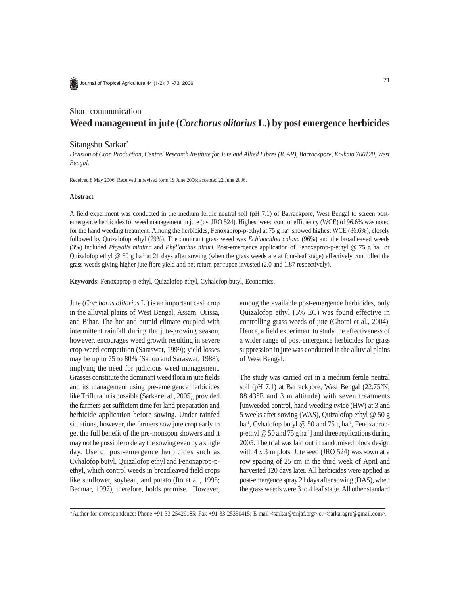

Journal of Tropical Agriculture 44 (1-2): 71-73, 2006

# Short communication **Weed management in jute (***Corchorus olitorius* **L.) by post emergence herbicides**

# Sitangshu Sarkar\*

*Division of Crop Production, Central Research Institute for Jute and Allied Fibres (ICAR), Barrackpore, Kolkata 700120, West Bengal.*

Received 8 May 2006; Received in revised form 19 June 2006; accepted 22 June 2006.

## **Abstract**

A field experiment was conducted in the medium fertile neutral soil (pH 7.1) of Barrackpore, West Bengal to screen postemergence herbicides for weed management in jute (cv. JRO 524). Highest weed control efficiency (WCE) of 96.6% was noted for the hand weeding treatment. Among the herbicides, Fenoxaprop-p-ethyl at 75 g ha<sup>-1</sup> showed highest WCE (86.6%), closely followed by Quizalofop ethyl (79%). The dominant grass weed was *Echinochloa colona* (96%) and the broadleaved weeds (3%) included *Physalis minima* and *Phyllanthus niruri*. Post-emergence application of Fenoxaprop-p-ethyl @ 75 g ha<sup>-1</sup> or Quizalofop ethyl @ 50 g ha<sup>-1</sup> at 21 days after sowing (when the grass weeds are at four-leaf stage) effectively controlled the grass weeds giving higher jute fibre yield and net return per rupee invested (2.0 and 1.87 respectively).

**Keywords:** Fenoxaprop-p-ethyl, Quizalofop ethyl, Cyhalofop butyl, Economics.

Jute (*Corchorus olitorius* L.) is an important cash crop in the alluvial plains of West Bengal, Assam, Orissa, and Bihar. The hot and humid climate coupled with intermittent rainfall during the jute-growing season, however, encourages weed growth resulting in severe crop-weed competition (Saraswat, 1999); yield losses may be up to 75 to 80% (Sahoo and Saraswat, 1988); implying the need for judicious weed management. Grasses constitute the dominant weed flora in jute fields and its management using pre-emergence herbicides like Trifluralin is possible (Sarkar et al., 2005), provided the farmers get sufficient time for land preparation and herbicide application before sowing. Under rainfed situations, however, the farmers sow jute crop early to get the full benefit of the pre-monsoon showers and it may not be possible to delay the sowing even by a single day. Use of post-emergence herbicides such as Cyhalofop butyl, Quizalofop ethyl and Fenoxaprop-pethyl, which control weeds in broadleaved field crops like sunflower, soybean, and potato (Ito et al., 1998; Bedmar, 1997), therefore, holds promise. However, among the available post-emergence herbicides, only Quizalofop ethyl (5% EC) was found effective in controlling grass weeds of jute (Ghorai et al., 2004). Hence, a field experiment to study the effectiveness of a wider range of post-emergence herbicides for grass suppression in jute was conducted in the alluvial plains of West Bengal.

The study was carried out in a medium fertile neutral soil (pH 7.1) at Barrackpore, West Bengal (22.75°N, 88.43°E and 3 m altitude) with seven treatments [unweeded control, hand weeding twice (HW) at 3 and 5 weeks after sowing (WAS), Quizalofop ethyl @ 50 g ha<sup>-1</sup>, Cyhalofop butyl @ 50 and 75 g ha<sup>-1</sup>, Fenoxapropp-ethyl  $\omega$  50 and 75 g ha<sup>-1</sup>] and three replications during 2005. The trial was laid out in randomised block design with 4 x 3 m plots. Jute seed (JRO 524) was sown at a row spacing of 25 cm in the third week of April and harvested 120 days later. All herbicides were applied as post-emergence spray 21 days after sowing (DAS), when the grass weeds were 3 to 4 leaf stage. All other standard

\*Author for correspondence: Phone +91-33-25429185; Fax +91-33-25350415; E-mail <sarkar@crijaf.org> or <sarkaragro@gmail.com>.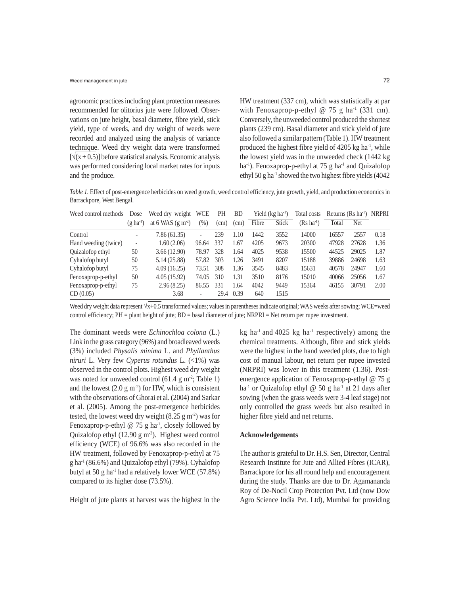#### Weed management in jute 72

agronomic practices including plant protection measures recommended for olitorius jute were followed. Observations on jute height, basal diameter, fibre yield, stick yield, type of weeds, and dry weight of weeds were recorded and analyzed using the analysis of variance technique. Weed dry weight data were transformed  $[\sqrt{(x+0.5)}]$  before statistical analysis. Economic analysis was performed considering local market rates for inputs and the produce.

HW treatment (337 cm), which was statistically at par with Fenoxaprop-p-ethyl @ 75 g ha<sup>-1</sup> (331 cm). Conversely, the unweeded control produced the shortest plants (239 cm). Basal diameter and stick yield of jute also followed a similar pattern (Table 1). HW treatment produced the highest fibre yield of 4205 kg ha<sup>-1</sup>, while the lowest yield was in the unweeded check (1442 kg ha<sup>-1</sup>). Fenoxaprop-p-ethyl at 75 g ha<sup>-1</sup> and Quizalofop ethyl 50 g ha-1 showed the two highest fibre yields (4042

*Table 1.* Effect of post-emergence herbicides on weed growth, weed control efficiency, jute growth, yield, and production economics in Barrackpore, West Bengal.

| Weed control methods | Dose             | Weed dry weight   | <b>WCE</b>               | PH   | <b>BD</b> | Yield $(kg ha^{-1})$ |              | Total costs            | Returns $(Rs \text{ ha}^{-1})$ NRPRI |       |      |
|----------------------|------------------|-------------------|--------------------------|------|-----------|----------------------|--------------|------------------------|--------------------------------------|-------|------|
|                      | $(g \, ha^{-1})$ | at 6 WAS $(g m2)$ | $(\% )$                  | (cm) | (cm)      | Fibre                | <b>Stick</b> | $(Rs \text{ ha}^{-1})$ | Total                                | Net   |      |
| Control              |                  | 7.86 (61.35)      | $\overline{\phantom{a}}$ | 239  | 1.10      | 1442                 | 3552         | 14000                  | 16557                                | 2557  | 0.18 |
| Hand weeding (twice) |                  | 1.60(2.06)        | 96.64                    | 337  | 1.67      | 4205                 | 9673         | 20300                  | 47928                                | 27628 | 1.36 |
| Quizalofop ethyl     | 50               | 3.66(12.90)       | 78.97                    | 328  | 1.64      | 4025                 | 9538         | 15500                  | 44525                                | 29025 | 1.87 |
| Cyhalofop butyl      | 50               | 5.14 (25.88)      | 57.82                    | 303  | 1.26      | 3491                 | 8207         | 15188                  | 39886                                | 24698 | 1.63 |
| Cyhalofop butyl      | 75               | 4.09(16.25)       | 73.51                    | 308  | 1.36      | 3545                 | 8483         | 15631                  | 40578                                | 24947 | 1.60 |
| Fenoxaprop-p-ethyl   | 50               | 4.05(15.92)       | 74.05                    | 310  | 1.31      | 3510                 | 8176         | 15010                  | 40066                                | 25056 | 1.67 |
| Fenoxaprop-p-ethyl   | 75               | 2.96(8.25)        | 86.55                    | 331  | 1.64      | 4042                 | 9449         | 15364                  | 46155                                | 30791 | 2.00 |
| CD(0.05)             |                  | 3.68              | $\overline{\phantom{a}}$ | 29.4 | 0.39      | 640                  | 1515         |                        |                                      |       |      |

Weed dry weight data represent  $\sqrt{x+0.5}$  transformed values; values in parentheses indicate original; WAS weeks after sowing; WCE=weed control efficiency; PH = plant height of jute; BD = basal diameter of jute; NRPRI = Net return per rupee investment.

The dominant weeds were *Echinochloa colona* (L.) Link in the grass category (96%) and broadleaved weeds (3%) included *Physalis minima* L. and *Phyllanthus niruri* L. Very few *Cyperus rotundus* L. (<1%) was observed in the control plots. Highest weed dry weight was noted for unweeded control  $(61.4 \text{ g m}^2)$ ; Table 1) and the lowest  $(2.0 \text{ g m}^2)$  for HW, which is consistent with the observations of Ghorai et al. (2004) and Sarkar et al. (2005). Among the post-emergence herbicides tested, the lowest weed dry weight  $(8.25 \text{ g m}^2)$  was for Fenoxaprop-p-ethyl @ 75 g ha<sup>-1</sup>, closely followed by Quizalofop ethyl  $(12.90 \text{ g m}^2)$ . Highest weed control efficiency (WCE) of 96.6% was also recorded in the HW treatment, followed by Fenoxaprop-p-ethyl at 75  $g$  ha<sup>-1</sup> (86.6%) and Quizalofop ethyl (79%). Cyhalofop butyl at 50 g ha<sup>-1</sup> had a relatively lower WCE  $(57.8\%)$ compared to its higher dose (73.5%).

Height of jute plants at harvest was the highest in the

kg ha<sup>-1</sup> and 4025 kg ha<sup>-1</sup> respectively) among the chemical treatments. Although, fibre and stick yields were the highest in the hand weeded plots, due to high cost of manual labour, net return per rupee invested (NRPRI) was lower in this treatment (1.36). Postemergence application of Fenoxaprop-p-ethyl @ 75 g ha<sup>-1</sup> or Quizalofop ethyl @ 50 g ha<sup>-1</sup> at 21 days after sowing (when the grass weeds were 3-4 leaf stage) not only controlled the grass weeds but also resulted in higher fibre yield and net returns.

### **Acknowledgements**

The author is grateful to Dr. H.S. Sen, Director, Central Research Institute for Jute and Allied Fibres (ICAR), Barrackpore for his all round help and encouragement during the study. Thanks are due to Dr. Agamananda Roy of De-Nocil Crop Protection Pvt. Ltd (now Dow Agro Science India Pvt. Ltd), Mumbai for providing